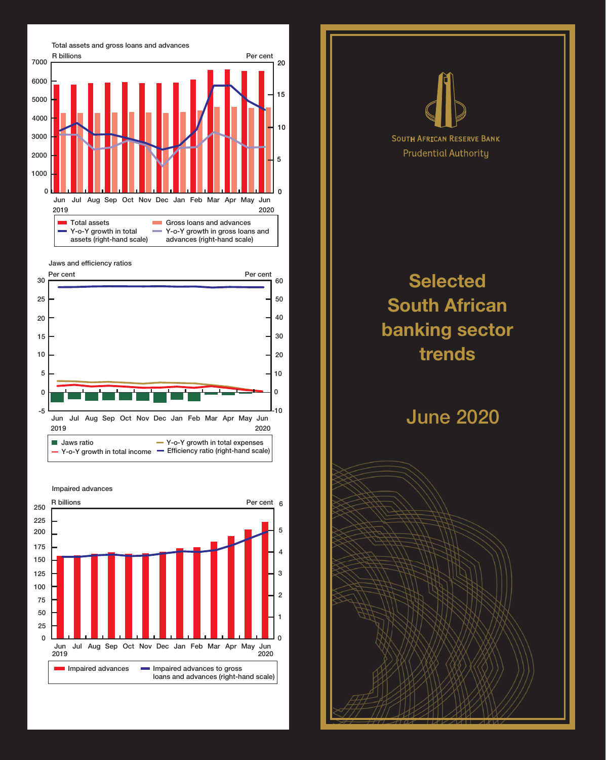